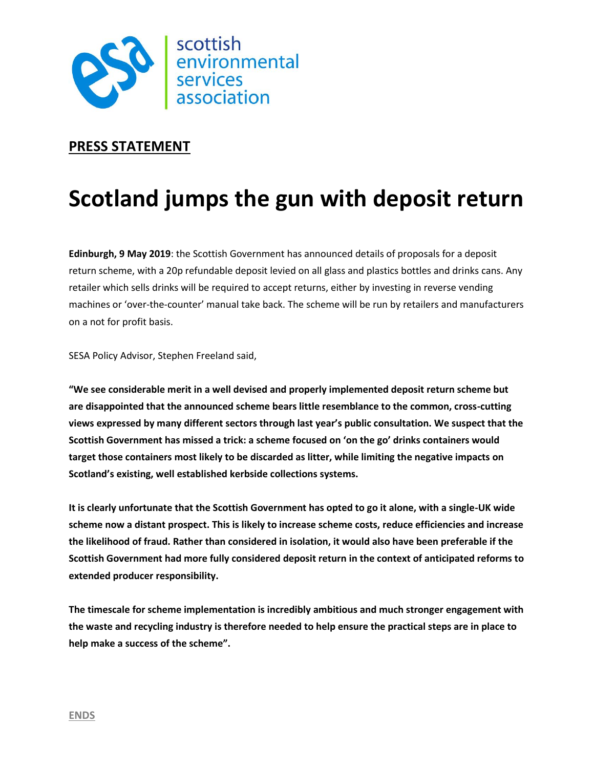

## **PRESS STATEMENT**

## **Scotland jumps the gun with deposit return**

**Edinburgh, 9 May 2019**: the Scottish Government has announced details of proposals for a deposit return scheme, with a 20p refundable deposit levied on all glass and plastics bottles and drinks cans. Any retailer which sells drinks will be required to accept returns, either by investing in reverse vending machines or 'over-the-counter' manual take back. The scheme will be run by retailers and manufacturers on a not for profit basis.

SESA Policy Advisor, Stephen Freeland said,

**"We see considerable merit in a well devised and properly implemented deposit return scheme but are disappointed that the announced scheme bears little resemblance to the common, cross-cutting views expressed by many different sectors through last year's public consultation. We suspect that the Scottish Government has missed a trick: a scheme focused on 'on the go' drinks containers would target those containers most likely to be discarded as litter, while limiting the negative impacts on Scotland's existing, well established kerbside collections systems.** 

**It is clearly unfortunate that the Scottish Government has opted to go it alone, with a single-UK wide scheme now a distant prospect. This is likely to increase scheme costs, reduce efficiencies and increase the likelihood of fraud. Rather than considered in isolation, it would also have been preferable if the Scottish Government had more fully considered deposit return in the context of anticipated reforms to extended producer responsibility.** 

**The timescale for scheme implementation is incredibly ambitious and much stronger engagement with the waste and recycling industry is therefore needed to help ensure the practical steps are in place to help make a success of the scheme".**